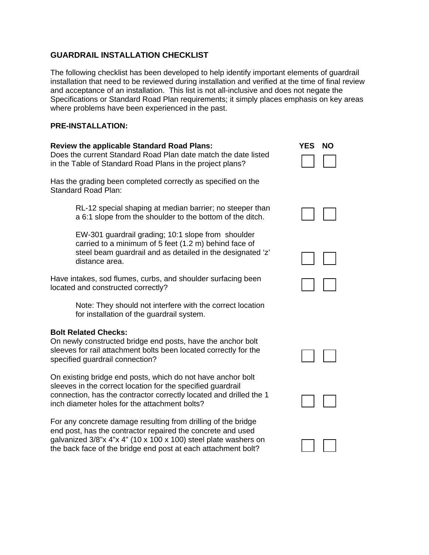# **GUARDRAIL INSTALLATION CHECKLIST**

The following checklist has been developed to help identify important elements of guardrail installation that need to be reviewed during installation and verified at the time of final review and acceptance of an installation. This list is not all-inclusive and does not negate the Specifications or Standard Road Plan requirements; it simply places emphasis on key areas where problems have been experienced in the past.

# **PRE-INSTALLATION:**

#### **Review the applicable Standard Road Plans:**  Does the current Standard Road Plan date match the date listed in the Table of Standard Road Plans in the project plans?

Has the grading been completed correctly as specified on the Standard Road Plan:

> RL-12 special shaping at median barrier; no steeper than a 6:1 slope from the shoulder to the bottom of the ditch.

> EW-301 guardrail grading; 10:1 slope from shoulder carried to a minimum of 5 feet (1.2 m) behind face of steel beam guardrail and as detailed in the designated 'z' distance area.

Have intakes, sod flumes, curbs, and shoulder surfacing been located and constructed correctly?

> Note: They should not interfere with the correct location for installation of the guardrail system.

# **Bolt Related Checks:**

On newly constructed bridge end posts, have the anchor bolt sleeves for rail attachment bolts been located correctly for the specified guardrail connection?

On existing bridge end posts, which do not have anchor bolt sleeves in the correct location for the specified guardrail connection, has the contractor correctly located and drilled the 1 inch diameter holes for the attachment bolts?

For any concrete damage resulting from drilling of the bridge end post, has the contractor repaired the concrete and used galvanized 3/8"x 4"x 4" (10 x 100 x 100) steel plate washers on the back face of the bridge end post at each attachment bolt?

| YES | NΟ |
|-----|----|
|     |    |





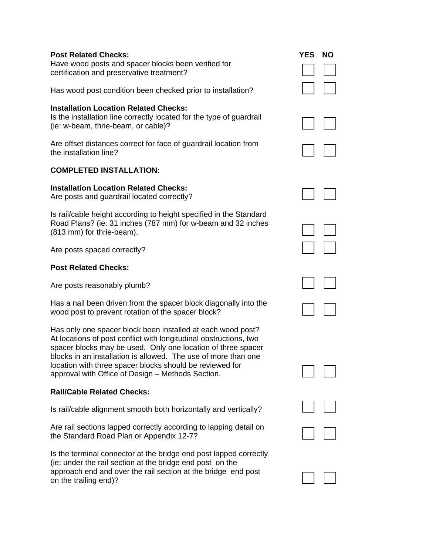## **Post Related Checks: YES NO 2008 THE RELATION CONSTRUCTED AT A VEHICLE STATE**

Have wood posts and spacer blocks been verified for certification and preservative treatment?

Has wood post condition been checked prior to installation?

# **Installation Location Related Checks:**

| Is the installation line correctly located for the type of guardrail |  |
|----------------------------------------------------------------------|--|
| (ie: w-beam, thrie-beam, or cable)?                                  |  |

Are offset distances correct for face of guardrail location from the installation line?

# **COMPLETED INSTALLATION:**

## **Installation Location Related Checks:**

Are posts and guardrail located correctly?

Is rail/cable height according to height specified in the Standard Road Plans? (ie: 31 inches (787 mm) for w-beam and 32 inches (813 mm) for thrie-beam).

Are posts spaced correctly?

# **Post Related Checks:**

Are posts reasonably plumb?

Has a nail been driven from the spacer block diagonally into the wood post to prevent rotation of the spacer block?

Has only one spacer block been installed at each wood post? At locations of post conflict with longitudinal obstructions, two spacer blocks may be used. Only one location of three spacer blocks in an installation is allowed. The use of more than one location with three spacer blocks should be reviewed for approval with Office of Design – Methods Section.

# **Rail/Cable Related Checks:**

Is rail/cable alignment smooth both horizontally and vertically?

Are rail sections lapped correctly according to lapping detail on the Standard Road Plan or Appendix 12-7?

Is the terminal connector at the bridge end post lapped correctly (ie: under the rail section at the bridge end post on the approach end and over the rail section at the bridge end post on the trailing end)?

| <b>ES</b> | <b>NO</b><br>$\Box$                                  |
|-----------|------------------------------------------------------|
|           | $\Box$                                               |
|           |                                                      |
|           |                                                      |
| $\Box$    |                                                      |
| $\Box$    | $\overline{\phantom{a}}$                             |
|           | $\overline{\phantom{a}}$<br>$\overline{\phantom{a}}$ |